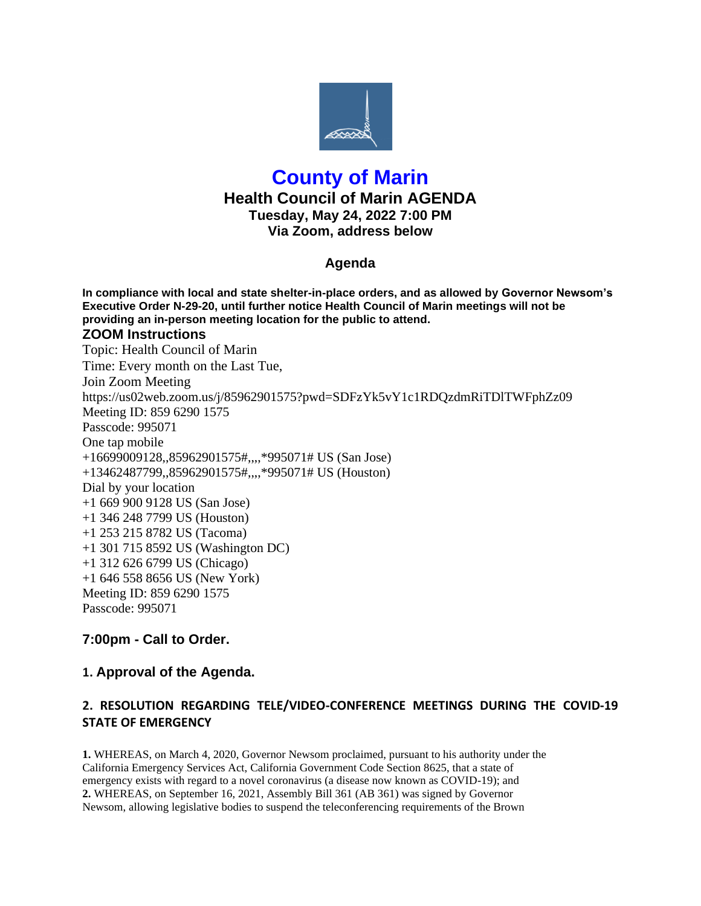

# **County of Marin Health Council of Marin AGENDA Tuesday, May 24, 2022 7:00 PM Via Zoom, address below**

## **Agenda**

**In compliance with local and state shelter-in-place orders, and as allowed by Governor Newsom's Executive Order N-29-20, until further notice Health Council of Marin meetings will not be providing an in-person meeting location for the public to attend. ZOOM Instructions** Topic: Health Council of Marin Time: Every month on the Last Tue, Join Zoom Meeting https://us02web.zoom.us/j/85962901575?pwd=SDFzYk5vY1c1RDQzdmRiTDlTWFphZz09 Meeting ID: 859 6290 1575 Passcode: 995071 One tap mobile +16699009128,,85962901575#,,,,\*995071# US (San Jose) +13462487799,,85962901575#,,,,\*995071# US (Houston) Dial by your location +1 669 900 9128 US (San Jose) +1 346 248 7799 US (Houston) +1 253 215 8782 US (Tacoma) +1 301 715 8592 US (Washington DC) +1 312 626 6799 US (Chicago) +1 646 558 8656 US (New York) Meeting ID: 859 6290 1575 Passcode: 995071

## **7:00pm - Call to Order.**

## **1. Approval of the Agenda.**

## **2. RESOLUTION REGARDING TELE/VIDEO-CONFERENCE MEETINGS DURING THE COVID-19 STATE OF EMERGENCY**

**1.** WHEREAS, on March 4, 2020, Governor Newsom proclaimed, pursuant to his authority under the California Emergency Services Act, California Government Code Section 8625, that a state of emergency exists with regard to a novel coronavirus (a disease now known as COVID-19); and **2.** WHEREAS, on September 16, 2021, Assembly Bill 361 (AB 361) was signed by Governor Newsom, allowing legislative bodies to suspend the teleconferencing requirements of the Brown